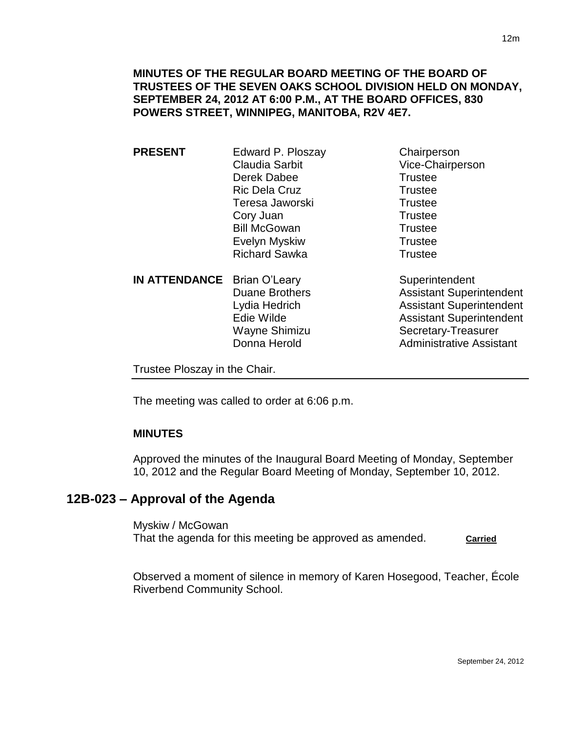**MINUTES OF THE REGULAR BOARD MEETING OF THE BOARD OF TRUSTEES OF THE SEVEN OAKS SCHOOL DIVISION HELD ON MONDAY, SEPTEMBER 24, 2012 AT 6:00 P.M., AT THE BOARD OFFICES, 830 POWERS STREET, WINNIPEG, MANITOBA, R2V 4E7.**

**PRESENT** Edward P. Ploszay Chairperson Claudia Sarbit Vice-Chairperson Derek Dabee Trustee Ric Dela Cruz **Trustee** Teresa Jaworski **Trustee** Cory Juan Trustee Bill McGowan Trustee Evelyn Myskiw **Trustee** Richard Sawka Trustee

**IN ATTENDANCE** Brian O'Leary Superintendent

Duane Brothers **Assistant Superintendent** Lydia Hedrich Assistant Superintendent Edie Wilde **Assistant Superintendent** Wayne Shimizu Secretary-Treasurer Donna Herold **Administrative Assistant** 

Trustee Ploszay in the Chair.

The meeting was called to order at 6:06 p.m.

### **MINUTES**

Approved the minutes of the Inaugural Board Meeting of Monday, September 10, 2012 and the Regular Board Meeting of Monday, September 10, 2012.

# **12B-023 – Approval of the Agenda**

Myskiw / McGowan That the agenda for this meeting be approved as amended. **Carried** 

Observed a moment of silence in memory of Karen Hosegood, Teacher, École Riverbend Community School.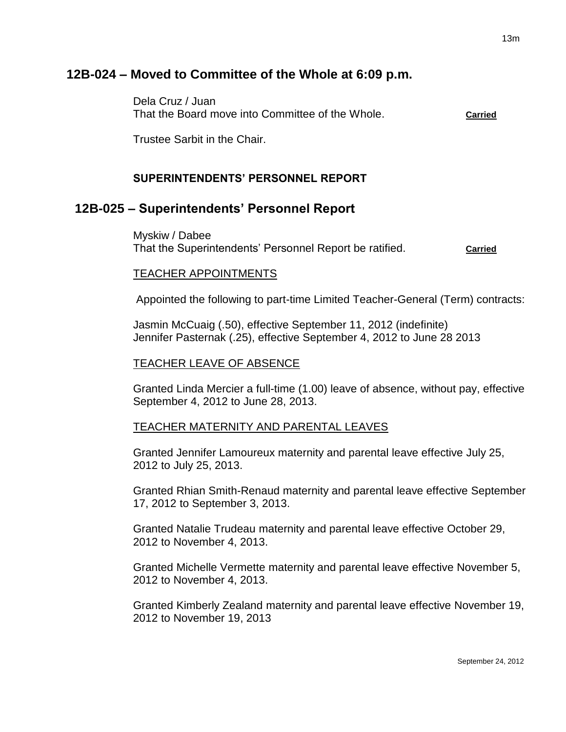# **12B-024 – Moved to Committee of the Whole at 6:09 p.m.**

Dela Cruz / Juan That the Board move into Committee of the Whole. **Carried**

Trustee Sarbit in the Chair.

## **SUPERINTENDENTS' PERSONNEL REPORT**

# **12B-025 – Superintendents' Personnel Report**

Myskiw / Dabee That the Superintendents' Personnel Report be ratified. **Carried**

### TEACHER APPOINTMENTS

Appointed the following to part-time Limited Teacher-General (Term) contracts:

Jasmin McCuaig (.50), effective September 11, 2012 (indefinite) Jennifer Pasternak (.25), effective September 4, 2012 to June 28 2013

### TEACHER LEAVE OF ABSENCE

Granted Linda Mercier a full-time (1.00) leave of absence, without pay, effective September 4, 2012 to June 28, 2013.

#### TEACHER MATERNITY AND PARENTAL LEAVES

Granted Jennifer Lamoureux maternity and parental leave effective July 25, 2012 to July 25, 2013.

Granted Rhian Smith-Renaud maternity and parental leave effective September 17, 2012 to September 3, 2013.

Granted Natalie Trudeau maternity and parental leave effective October 29, 2012 to November 4, 2013.

Granted Michelle Vermette maternity and parental leave effective November 5, 2012 to November 4, 2013.

Granted Kimberly Zealand maternity and parental leave effective November 19, 2012 to November 19, 2013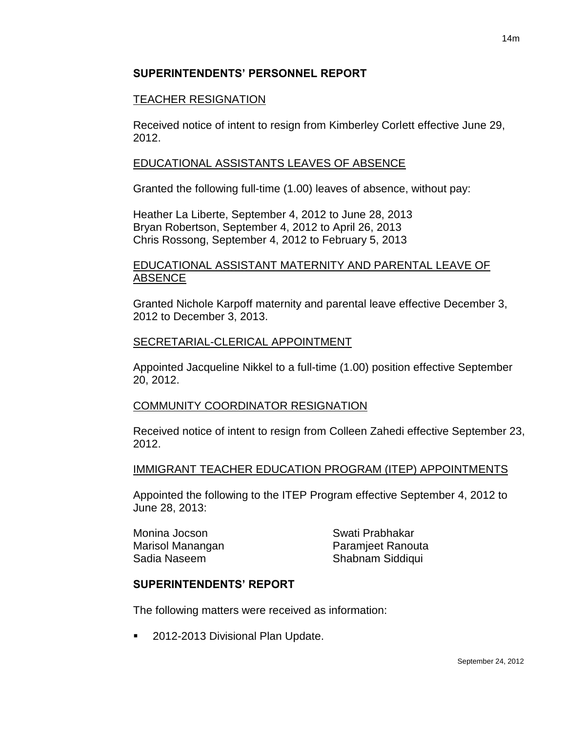## **SUPERINTENDENTS' PERSONNEL REPORT**

## TEACHER RESIGNATION

Received notice of intent to resign from Kimberley Corlett effective June 29, 2012.

## EDUCATIONAL ASSISTANTS LEAVES OF ABSENCE

Granted the following full-time (1.00) leaves of absence, without pay:

Heather La Liberte, September 4, 2012 to June 28, 2013 Bryan Robertson, September 4, 2012 to April 26, 2013 Chris Rossong, September 4, 2012 to February 5, 2013

## EDUCATIONAL ASSISTANT MATERNITY AND PARENTAL LEAVE OF ABSENCE

Granted Nichole Karpoff maternity and parental leave effective December 3, 2012 to December 3, 2013.

## SECRETARIAL-CLERICAL APPOINTMENT

Appointed Jacqueline Nikkel to a full-time (1.00) position effective September 20, 2012.

### COMMUNITY COORDINATOR RESIGNATION

Received notice of intent to resign from Colleen Zahedi effective September 23, 2012.

### IMMIGRANT TEACHER EDUCATION PROGRAM (ITEP) APPOINTMENTS

Appointed the following to the ITEP Program effective September 4, 2012 to June 28, 2013:

Monina Jocson Swati Prabhakar

Marisol Manangan **Paramieet Ranouta** Sadia Naseem Shabnam Siddiqui

## **SUPERINTENDENTS' REPORT**

The following matters were received as information:

2012-2013 Divisional Plan Update.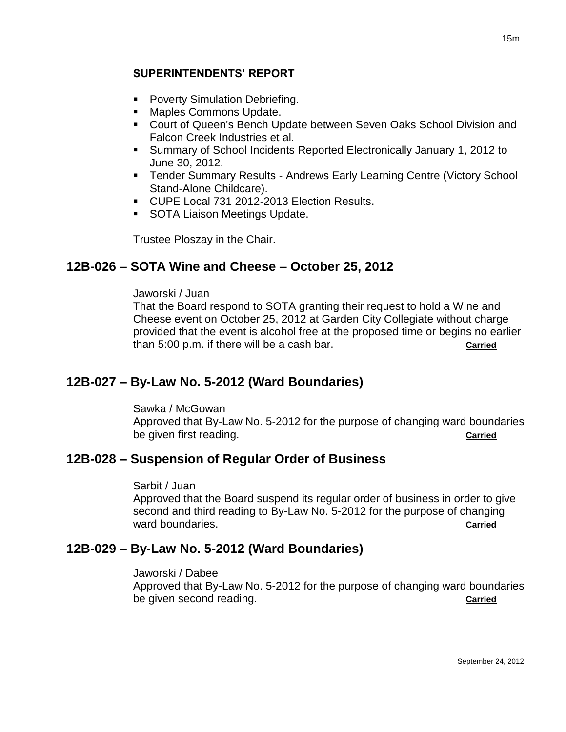## **SUPERINTENDENTS' REPORT**

- **Poverty Simulation Debriefing.**
- **Maples Commons Update.**
- **Court of Queen's Bench Update between Seven Oaks School Division and** Falcon Creek Industries et al.
- Summary of School Incidents Reported Electronically January 1, 2012 to June 30, 2012.
- **Tender Summary Results Andrews Early Learning Centre (Victory School** Stand-Alone Childcare).
- CUPE Local 731 2012-2013 Election Results.
- **SOTA Liaison Meetings Update.**

Trustee Ploszay in the Chair.

# **12B-026 – SOTA Wine and Cheese – October 25, 2012**

### Jaworski / Juan

That the Board respond to SOTA granting their request to hold a Wine and Cheese event on October 25, 2012 at Garden City Collegiate without charge provided that the event is alcohol free at the proposed time or begins no earlier than 5:00 p.m. if there will be a cash bar. **Carried**

# **12B-027 – By-Law No. 5-2012 (Ward Boundaries)**

Sawka / McGowan

Approved that By-Law No. 5-2012 for the purpose of changing ward boundaries be given first reading. **Carried**

# **12B-028 – Suspension of Regular Order of Business**

#### Sarbit / Juan

Approved that the Board suspend its regular order of business in order to give second and third reading to By-Law No. 5-2012 for the purpose of changing ward boundaries. **Carried** 

# **12B-029 – By-Law No. 5-2012 (Ward Boundaries)**

#### Jaworski / Dabee

Approved that By-Law No. 5-2012 for the purpose of changing ward boundaries be given second reading. **Carried**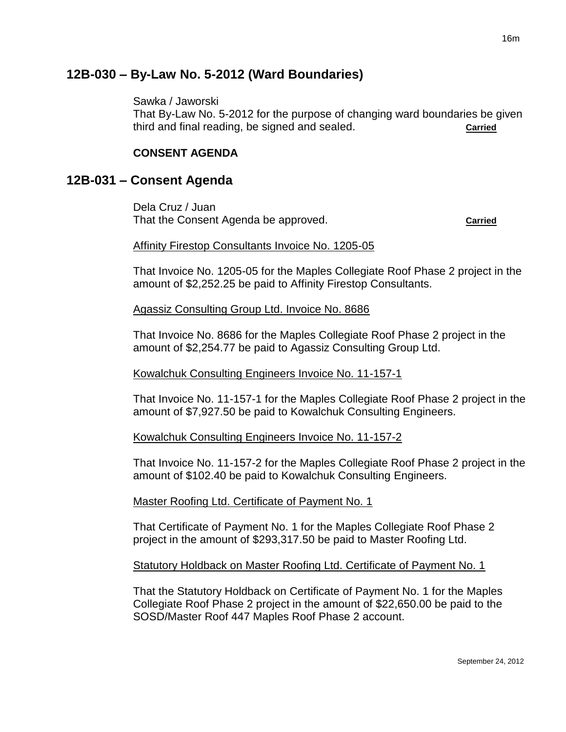# **12B-030 – By-Law No. 5-2012 (Ward Boundaries)**

Sawka / Jaworski

That By-Law No. 5-2012 for the purpose of changing ward boundaries be given third and final reading, be signed and sealed. **Carried**

## **CONSENT AGENDA**

# **12B-031 – Consent Agenda**

Dela Cruz / Juan That the Consent Agenda be approved. **Carried**

### Affinity Firestop Consultants Invoice No. 1205-05

That Invoice No. 1205-05 for the Maples Collegiate Roof Phase 2 project in the amount of \$2,252.25 be paid to Affinity Firestop Consultants.

### Agassiz Consulting Group Ltd. Invoice No. 8686

That Invoice No. 8686 for the Maples Collegiate Roof Phase 2 project in the amount of \$2,254.77 be paid to Agassiz Consulting Group Ltd.

### Kowalchuk Consulting Engineers Invoice No. 11-157-1

That Invoice No. 11-157-1 for the Maples Collegiate Roof Phase 2 project in the amount of \$7,927.50 be paid to Kowalchuk Consulting Engineers.

### Kowalchuk Consulting Engineers Invoice No. 11-157-2

That Invoice No. 11-157-2 for the Maples Collegiate Roof Phase 2 project in the amount of \$102.40 be paid to Kowalchuk Consulting Engineers.

#### Master Roofing Ltd. Certificate of Payment No. 1

That Certificate of Payment No. 1 for the Maples Collegiate Roof Phase 2 project in the amount of \$293,317.50 be paid to Master Roofing Ltd.

#### Statutory Holdback on Master Roofing Ltd. Certificate of Payment No. 1

That the Statutory Holdback on Certificate of Payment No. 1 for the Maples Collegiate Roof Phase 2 project in the amount of \$22,650.00 be paid to the SOSD/Master Roof 447 Maples Roof Phase 2 account.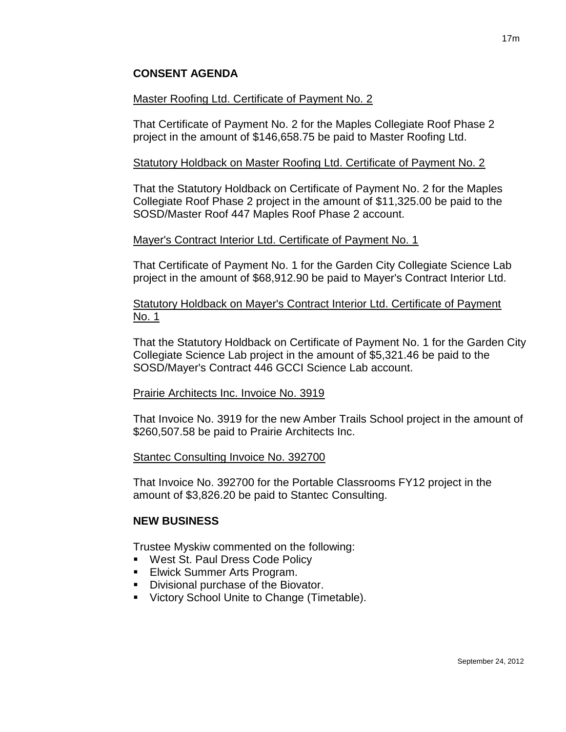## **CONSENT AGENDA**

### Master Roofing Ltd. Certificate of Payment No. 2

That Certificate of Payment No. 2 for the Maples Collegiate Roof Phase 2 project in the amount of \$146,658.75 be paid to Master Roofing Ltd.

### Statutory Holdback on Master Roofing Ltd. Certificate of Payment No. 2

That the Statutory Holdback on Certificate of Payment No. 2 for the Maples Collegiate Roof Phase 2 project in the amount of \$11,325.00 be paid to the SOSD/Master Roof 447 Maples Roof Phase 2 account.

### Mayer's Contract Interior Ltd. Certificate of Payment No. 1

That Certificate of Payment No. 1 for the Garden City Collegiate Science Lab project in the amount of \$68,912.90 be paid to Mayer's Contract Interior Ltd.

Statutory Holdback on Mayer's Contract Interior Ltd. Certificate of Payment No. 1

That the Statutory Holdback on Certificate of Payment No. 1 for the Garden City Collegiate Science Lab project in the amount of \$5,321.46 be paid to the SOSD/Mayer's Contract 446 GCCI Science Lab account.

#### Prairie Architects Inc. Invoice No. 3919

That Invoice No. 3919 for the new Amber Trails School project in the amount of \$260,507.58 be paid to Prairie Architects Inc.

#### Stantec Consulting Invoice No. 392700

That Invoice No. 392700 for the Portable Classrooms FY12 project in the amount of \$3,826.20 be paid to Stantec Consulting.

#### **NEW BUSINESS**

Trustee Myskiw commented on the following:

- **West St. Paul Dress Code Policy**
- **Elwick Summer Arts Program.**
- **Divisional purchase of the Biovator.**
- **Victory School Unite to Change (Timetable).**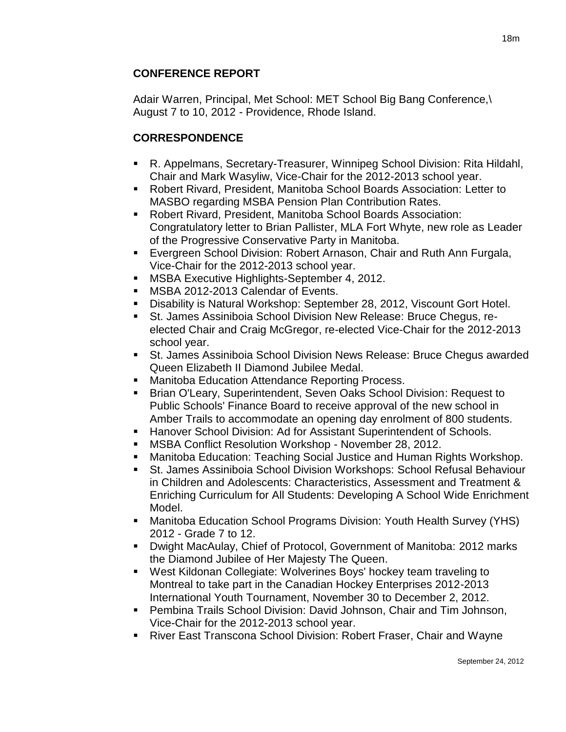# **CONFERENCE REPORT**

Adair Warren, Principal, Met School: MET School Big Bang Conference,\ August 7 to 10, 2012 - Providence, Rhode Island.

# **CORRESPONDENCE**

- R. Appelmans, Secretary-Treasurer, Winnipeg School Division: Rita Hildahl, Chair and Mark Wasyliw, Vice-Chair for the 2012-2013 school year.
- Robert Rivard, President, Manitoba School Boards Association: Letter to MASBO regarding MSBA Pension Plan Contribution Rates.
- Robert Rivard, President, Manitoba School Boards Association: Congratulatory letter to Brian Pallister, MLA Fort Whyte, new role as Leader of the Progressive Conservative Party in Manitoba.
- **Evergreen School Division: Robert Arnason, Chair and Ruth Ann Furgala,** Vice-Chair for the 2012-2013 school year.
- **MSBA Executive Highlights-September 4, 2012.**
- **MSBA 2012-2013 Calendar of Events.**
- Disability is Natural Workshop: September 28, 2012, Viscount Gort Hotel.
- St. James Assiniboia School Division New Release: Bruce Chegus, reelected Chair and Craig McGregor, re-elected Vice-Chair for the 2012-2013 school year.
- St. James Assiniboia School Division News Release: Bruce Chegus awarded Queen Elizabeth II Diamond Jubilee Medal.
- **Manitoba Education Attendance Reporting Process.**
- Brian O'Leary, Superintendent, Seven Oaks School Division: Request to Public Schools' Finance Board to receive approval of the new school in Amber Trails to accommodate an opening day enrolment of 800 students.
- **Hanover School Division: Ad for Assistant Superintendent of Schools.**
- MSBA Conflict Resolution Workshop November 28, 2012.
- Manitoba Education: Teaching Social Justice and Human Rights Workshop.
- St. James Assiniboia School Division Workshops: School Refusal Behaviour in Children and Adolescents: Characteristics, Assessment and Treatment & Enriching Curriculum for All Students: Developing A School Wide Enrichment Model.
- Manitoba Education School Programs Division: Youth Health Survey (YHS) 2012 - Grade 7 to 12.
- Dwight MacAulay, Chief of Protocol, Government of Manitoba: 2012 marks the Diamond Jubilee of Her Majesty The Queen.
- West Kildonan Collegiate: Wolverines Boys' hockey team traveling to Montreal to take part in the Canadian Hockey Enterprises 2012-2013 International Youth Tournament, November 30 to December 2, 2012.
- Pembina Trails School Division: David Johnson, Chair and Tim Johnson, Vice-Chair for the 2012-2013 school year.
- River East Transcona School Division: Robert Fraser, Chair and Wayne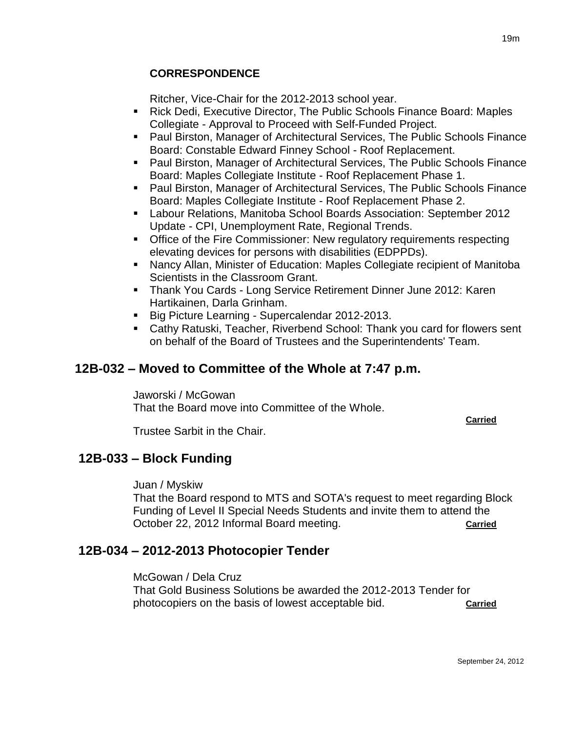# **CORRESPONDENCE**

Ritcher, Vice-Chair for the 2012-2013 school year.

- Rick Dedi, Executive Director, The Public Schools Finance Board: Maples Collegiate - Approval to Proceed with Self-Funded Project.
- Paul Birston, Manager of Architectural Services, The Public Schools Finance Board: Constable Edward Finney School - Roof Replacement.
- **Paul Birston, Manager of Architectural Services, The Public Schools Finance** Board: Maples Collegiate Institute - Roof Replacement Phase 1.
- Paul Birston, Manager of Architectural Services, The Public Schools Finance Board: Maples Collegiate Institute - Roof Replacement Phase 2.
- Labour Relations, Manitoba School Boards Association: September 2012 Update - CPI, Unemployment Rate, Regional Trends.
- **Office of the Fire Commissioner: New regulatory requirements respecting** elevating devices for persons with disabilities (EDPPDs).
- Nancy Allan, Minister of Education: Maples Collegiate recipient of Manitoba Scientists in the Classroom Grant.
- Thank You Cards Long Service Retirement Dinner June 2012: Karen Hartikainen, Darla Grinham.
- Big Picture Learning Supercalendar 2012-2013.
- Cathy Ratuski, Teacher, Riverbend School: Thank you card for flowers sent on behalf of the Board of Trustees and the Superintendents' Team.

# **12B-032 – Moved to Committee of the Whole at 7:47 p.m.**

Jaworski / McGowan That the Board move into Committee of the Whole.

**Carried**

Trustee Sarbit in the Chair.

# **12B-033 – Block Funding**

Juan / Myskiw

That the Board respond to MTS and SOTA's request to meet regarding Block Funding of Level II Special Needs Students and invite them to attend the October 22, 2012 Informal Board meeting.

# **12B-034 – 2012-2013 Photocopier Tender**

McGowan / Dela Cruz

That Gold Business Solutions be awarded the 2012-2013 Tender for photocopiers on the basis of lowest acceptable bid. **Carried**